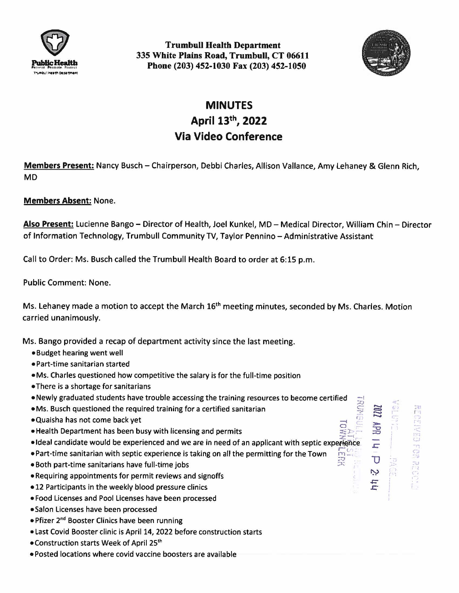

**Trumbull Health Department 335 White Plains Road, Trumbull, CT 06611 Phone (203) 452-1030 Fax (203) 452-1050** 



 $\circ$ 

......  $\bullet$  $\Xi$  $\mathbb{Z}$ **:::i:,,.**  -c  $\Rightarrow$ **.r:::**   $\overline{\mathtt{U}}$ 

یہ  $\overline{\mathbf{h}}$ 

'1

ויזיו<br>נגט<br>ריד  $\mathbb{S}$ 

## **MINUTES April 13th, 2022 Via Video Conference**

**Members Present:** Nancy Busch - Chairperson, Debbi Charles, Allison Vallance, Amy lehaney & Glenn Rich, **MD** 

## **Members Absent:** None.

**Also Present:** Lucienne Bango - Director of Health, Joel Kunkel, MD - Medical Director, William Chin - Director of Information Technology, Trumbull Community TV, Taylor Pennino - Administrative Assistant

Call to Order: Ms. Busch called the Trumbull Health Board to order at 6:15 p.m.

Public Comment: None.

Ms. Lehaney made a motion to accept the March 16<sup>th</sup> meeting minutes, seconded by Ms. Charles. Motion carried unanimously.

Ms. Bango provided a recap of department activity since the last meeting.

- Budget hearing went well
- Part-time sanitarian started
- **•Ms.** Charles questioned how competitive the salary is for the full-time position
- •There is a shortage for sanitarians
- Newly graduated students have trouble accessing the training resources to become certified
- Ms. Busch questioned the required training for a certified sanitarian
- Quaisha has not come back yet
- Health Department has been busy with licensing and permits
- · Ideal candidate would be experienced and we are in need of an applicant with septic experience THE<br>THE<br>THE
- Part-time sanitarian with septic experience is taking on all the permitting for the Town
- Both part-time sanitarians have full-time jobs
- •Requiring appointments for permit reviews and signoffs
- 12 Participants in the weekly blood pressure clinics
- Food Licenses and Pool Licenses have been processed
- •Salon Licenses have been processed
- Pfizer 2nd Booster Clinics have been running
- Last Covid Booster clinic is April 14, 2022 before construction starts
- •Construction starts Week of April 25th
- Posted locations where covid vaccine boosters are available